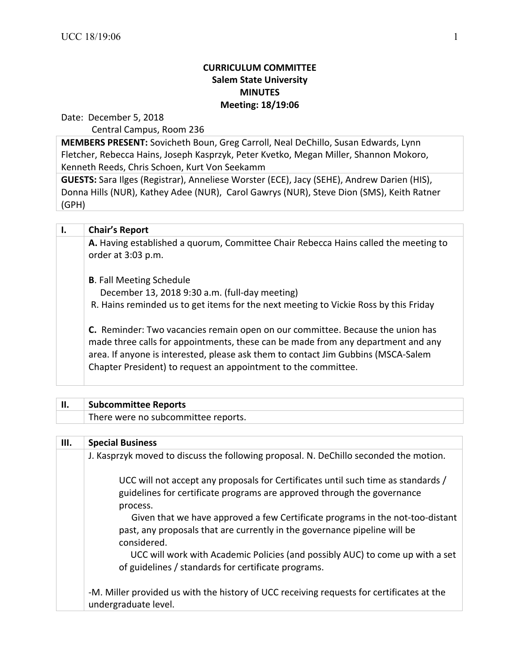## **CURRICULUM COMMITTEE Salem State University MINUTES Meeting: 18/19:06**

Date: December 5, 2018

Central Campus, Room 236

**MEMBERS PRESENT:** Sovicheth Boun, Greg Carroll, Neal DeChillo, Susan Edwards, Lynn Fletcher, Rebecca Hains, Joseph Kasprzyk, Peter Kvetko, Megan Miller, Shannon Mokoro, Kenneth Reeds, Chris Schoen, Kurt Von Seekamm

**GUESTS:** Sara Ilges (Registrar), Anneliese Worster (ECE), Jacy (SEHE), Andrew Darien (HIS), Donna Hills (NUR), Kathey Adee (NUR), Carol Gawrys (NUR), Steve Dion (SMS), Keith Ratner (GPH)

| Ι. | <b>Chair's Report</b>                                                                                                                                                                                                                                                                                                     |
|----|---------------------------------------------------------------------------------------------------------------------------------------------------------------------------------------------------------------------------------------------------------------------------------------------------------------------------|
|    | A. Having established a quorum, Committee Chair Rebecca Hains called the meeting to<br>order at 3:03 p.m.                                                                                                                                                                                                                 |
|    | <b>B.</b> Fall Meeting Schedule                                                                                                                                                                                                                                                                                           |
|    | December 13, 2018 9:30 a.m. (full-day meeting)                                                                                                                                                                                                                                                                            |
|    | R. Hains reminded us to get items for the next meeting to Vickie Ross by this Friday                                                                                                                                                                                                                                      |
|    | C. Reminder: Two vacancies remain open on our committee. Because the union has<br>made three calls for appointments, these can be made from any department and any<br>area. If anyone is interested, please ask them to contact Jim Gubbins (MSCA-Salem<br>Chapter President) to request an appointment to the committee. |

| <b>Subcommittee Reports</b>         |
|-------------------------------------|
| There were no subcommittee reports. |
|                                     |

| Ш. | <b>Special Business</b>                                                                                                                                                   |
|----|---------------------------------------------------------------------------------------------------------------------------------------------------------------------------|
|    | J. Kasprzyk moved to discuss the following proposal. N. DeChillo seconded the motion.                                                                                     |
|    | UCC will not accept any proposals for Certificates until such time as standards /<br>guidelines for certificate programs are approved through the governance<br>process.  |
|    | Given that we have approved a few Certificate programs in the not-too-distant<br>past, any proposals that are currently in the governance pipeline will be<br>considered. |
|    | UCC will work with Academic Policies (and possibly AUC) to come up with a set<br>of guidelines / standards for certificate programs.                                      |
|    | -M. Miller provided us with the history of UCC receiving requests for certificates at the<br>undergraduate level.                                                         |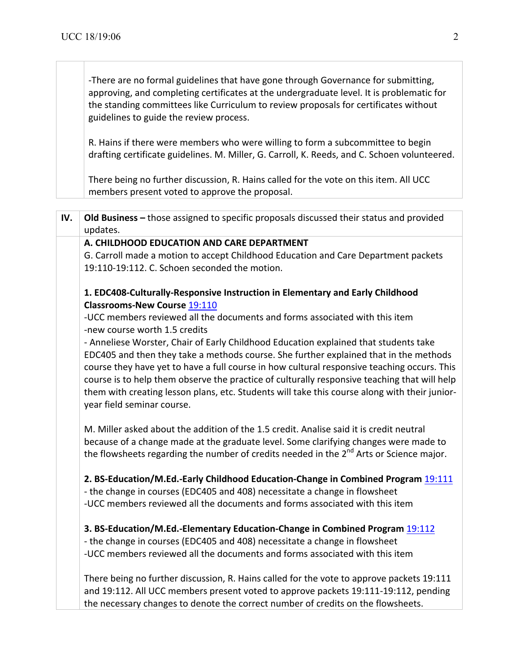-There are no formal guidelines that have gone through Governance for submitting, approving, and completing certificates at the undergraduate level. It is problematic for the standing committees like Curriculum to review proposals for certificates without guidelines to guide the review process.

R. Hains if there were members who were willing to form a subcommittee to begin drafting certificate guidelines. M. Miller, G. Carroll, K. Reeds, and C. Schoen volunteered.

There being no further discussion, R. Hains called for the vote on this item. All UCC members present voted to approve the proposal.

| IV. | Old Business - those assigned to specific proposals discussed their status and provided             |
|-----|-----------------------------------------------------------------------------------------------------|
|     | updates.                                                                                            |
|     | A. CHILDHOOD EDUCATION AND CARE DEPARTMENT                                                          |
|     | G. Carroll made a motion to accept Childhood Education and Care Department packets                  |
|     | 19:110-19:112. C. Schoen seconded the motion.                                                       |
|     | 1. EDC408-Culturally-Responsive Instruction in Elementary and Early Childhood                       |
|     | <b>Classrooms-New Course 19:110</b>                                                                 |
|     | -UCC members reviewed all the documents and forms associated with this item                         |
|     | -new course worth 1.5 credits                                                                       |
|     | - Anneliese Worster, Chair of Early Childhood Education explained that students take                |
|     | EDC405 and then they take a methods course. She further explained that in the methods               |
|     | course they have yet to have a full course in how cultural responsive teaching occurs. This         |
|     | course is to help them observe the practice of culturally responsive teaching that will help        |
|     | them with creating lesson plans, etc. Students will take this course along with their junior-       |
|     | year field seminar course.                                                                          |
|     | M. Miller asked about the addition of the 1.5 credit. Analise said it is credit neutral             |
|     | because of a change made at the graduate level. Some clarifying changes were made to                |
|     | the flowsheets regarding the number of credits needed in the 2 <sup>nd</sup> Arts or Science major. |
|     | 2. BS-Education/M.Ed.-Early Childhood Education-Change in Combined Program 19:111                   |
|     | - the change in courses (EDC405 and 408) necessitate a change in flowsheet                          |
|     | -UCC members reviewed all the documents and forms associated with this item                         |
|     | 3. BS-Education/M.Ed.-Elementary Education-Change in Combined Program 19:112                        |
|     | - the change in courses (EDC405 and 408) necessitate a change in flowsheet                          |
|     | -UCC members reviewed all the documents and forms associated with this item                         |
|     |                                                                                                     |
|     | There being no further discussion, R. Hains called for the vote to approve packets 19:111           |
|     | and 19:112. All UCC members present voted to approve packets 19:111-19:112, pending                 |
|     | the necessary changes to denote the correct number of credits on the flowsheets.                    |
|     |                                                                                                     |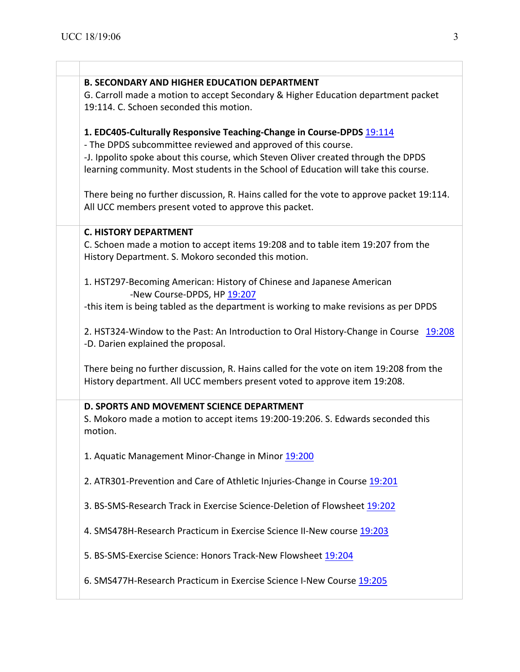| <b>B. SECONDARY AND HIGHER EDUCATION DEPARTMENT</b>                                       |
|-------------------------------------------------------------------------------------------|
| G. Carroll made a motion to accept Secondary & Higher Education department packet         |
| 19:114. C. Schoen seconded this motion.                                                   |
| 1. EDC405-Culturally Responsive Teaching-Change in Course-DPDS 19:114                     |
| - The DPDS subcommittee reviewed and approved of this course.                             |
| -J. Ippolito spoke about this course, which Steven Oliver created through the DPDS        |
| learning community. Most students in the School of Education will take this course.       |
| There being no further discussion, R. Hains called for the vote to approve packet 19:114. |
| All UCC members present voted to approve this packet.                                     |
| <b>C. HISTORY DEPARTMENT</b>                                                              |
| C. Schoen made a motion to accept items 19:208 and to table item 19:207 from the          |
| History Department. S. Mokoro seconded this motion.                                       |
| 1. HST297-Becoming American: History of Chinese and Japanese American                     |
| -New Course-DPDS, HP 19:207                                                               |
| -this item is being tabled as the department is working to make revisions as per DPDS     |
| 2. HST324-Window to the Past: An Introduction to Oral History-Change in Course 19:208     |
| -D. Darien explained the proposal.                                                        |
|                                                                                           |
| There being no further discussion, R. Hains called for the vote on item 19:208 from the   |
| History department. All UCC members present voted to approve item 19:208.                 |
| D. SPORTS AND MOVEMENT SCIENCE DEPARTMENT                                                 |
| S. Mokoro made a motion to accept items 19:200-19:206. S. Edwards seconded this           |
| motion.                                                                                   |
| 1. Aquatic Management Minor-Change in Minor 19:200                                        |
| 2. ATR301-Prevention and Care of Athletic Injuries-Change in Course 19:201                |
|                                                                                           |
| 3. BS-SMS-Research Track in Exercise Science-Deletion of Flowsheet 19:202                 |
| 4. SMS478H-Research Practicum in Exercise Science II-New course 19:203                    |
| 5. BS-SMS-Exercise Science: Honors Track-New Flowsheet 19:204                             |
|                                                                                           |
| 6. SMS477H-Research Practicum in Exercise Science I-New Course 19:205                     |
|                                                                                           |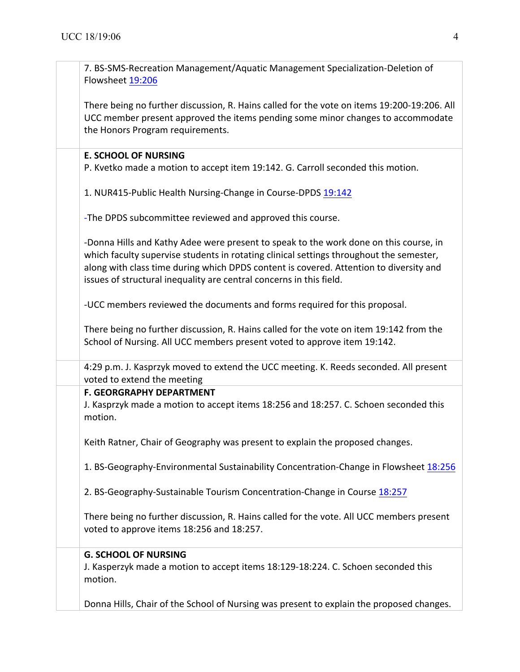| 7. BS-SMS-Recreation Management/Aquatic Management Specialization-Deletion of<br>Flowsheet 19:206                                                                                                                                                                                                                                                 |
|---------------------------------------------------------------------------------------------------------------------------------------------------------------------------------------------------------------------------------------------------------------------------------------------------------------------------------------------------|
| There being no further discussion, R. Hains called for the vote on items 19:200-19:206. All<br>UCC member present approved the items pending some minor changes to accommodate<br>the Honors Program requirements.                                                                                                                                |
| <b>E. SCHOOL OF NURSING</b>                                                                                                                                                                                                                                                                                                                       |
| P. Kvetko made a motion to accept item 19:142. G. Carroll seconded this motion.                                                                                                                                                                                                                                                                   |
| 1. NUR415-Public Health Nursing-Change in Course-DPDS 19:142                                                                                                                                                                                                                                                                                      |
| -The DPDS subcommittee reviewed and approved this course.                                                                                                                                                                                                                                                                                         |
| -Donna Hills and Kathy Adee were present to speak to the work done on this course, in<br>which faculty supervise students in rotating clinical settings throughout the semester,<br>along with class time during which DPDS content is covered. Attention to diversity and<br>issues of structural inequality are central concerns in this field. |
| -UCC members reviewed the documents and forms required for this proposal.                                                                                                                                                                                                                                                                         |
| There being no further discussion, R. Hains called for the vote on item 19:142 from the<br>School of Nursing. All UCC members present voted to approve item 19:142.                                                                                                                                                                               |
| 4:29 p.m. J. Kasprzyk moved to extend the UCC meeting. K. Reeds seconded. All present<br>voted to extend the meeting                                                                                                                                                                                                                              |
| <b>F. GEORGRAPHY DEPARTMENT</b><br>J. Kasprzyk made a motion to accept items 18:256 and 18:257. C. Schoen seconded this<br>motion.                                                                                                                                                                                                                |
| Keith Ratner, Chair of Geography was present to explain the proposed changes.                                                                                                                                                                                                                                                                     |
| 1. BS-Geography-Environmental Sustainability Concentration-Change in Flowsheet 18:256                                                                                                                                                                                                                                                             |
| 2. BS-Geography-Sustainable Tourism Concentration-Change in Course 18:257                                                                                                                                                                                                                                                                         |
| There being no further discussion, R. Hains called for the vote. All UCC members present<br>voted to approve items 18:256 and 18:257.                                                                                                                                                                                                             |
| <b>G. SCHOOL OF NURSING</b><br>J. Kasperzyk made a motion to accept items 18:129-18:224. C. Schoen seconded this<br>motion.                                                                                                                                                                                                                       |
| Donna Hills, Chair of the School of Nursing was present to explain the proposed changes.                                                                                                                                                                                                                                                          |